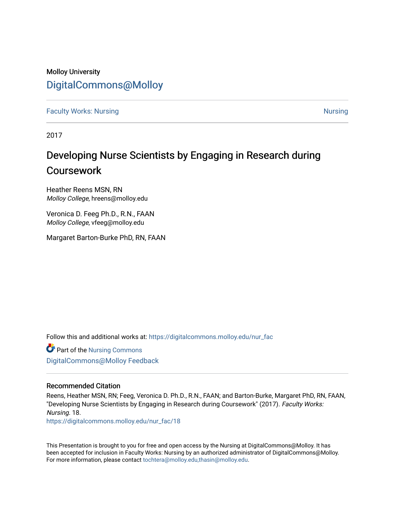### Molloy University [DigitalCommons@Molloy](https://digitalcommons.molloy.edu/)

**[Faculty Works: Nursing](https://digitalcommons.molloy.edu/nur_fac) [Nursing](https://digitalcommons.molloy.edu/nur) Nursing Nursing Nursing Nursing Nursing Nursing Nursing Nursing Nursing Nursing** 

2017

### Developing Nurse Scientists by Engaging in Research during Coursework

Heather Reens MSN, RN Molloy College, hreens@molloy.edu

Veronica D. Feeg Ph.D., R.N., FAAN Molloy College, vfeeg@molloy.edu

Margaret Barton-Burke PhD, RN, FAAN

Follow this and additional works at: [https://digitalcommons.molloy.edu/nur\\_fac](https://digitalcommons.molloy.edu/nur_fac?utm_source=digitalcommons.molloy.edu%2Fnur_fac%2F18&utm_medium=PDF&utm_campaign=PDFCoverPages)

Part of the [Nursing Commons](https://network.bepress.com/hgg/discipline/718?utm_source=digitalcommons.molloy.edu%2Fnur_fac%2F18&utm_medium=PDF&utm_campaign=PDFCoverPages)  [DigitalCommons@Molloy Feedback](https://molloy.libwizard.com/f/dcfeedback)

### Recommended Citation

Reens, Heather MSN, RN; Feeg, Veronica D. Ph.D., R.N., FAAN; and Barton-Burke, Margaret PhD, RN, FAAN, "Developing Nurse Scientists by Engaging in Research during Coursework" (2017). Faculty Works: Nursing. 18.

[https://digitalcommons.molloy.edu/nur\\_fac/18](https://digitalcommons.molloy.edu/nur_fac/18?utm_source=digitalcommons.molloy.edu%2Fnur_fac%2F18&utm_medium=PDF&utm_campaign=PDFCoverPages) 

This Presentation is brought to you for free and open access by the Nursing at DigitalCommons@Molloy. It has been accepted for inclusion in Faculty Works: Nursing by an authorized administrator of DigitalCommons@Molloy. For more information, please contact [tochtera@molloy.edu,thasin@molloy.edu](mailto:tochtera@molloy.edu,thasin@molloy.edu).